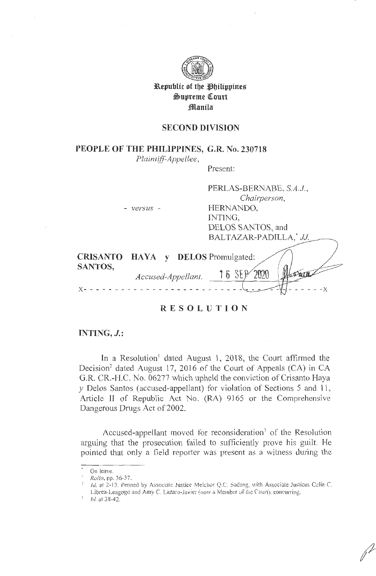

**3B.epublic of tbe ~biltppine%**   $\oplus$ upreme Court **.1fl!lanila** 

## **SECOND DIVISION**

**PEOPLE OF THE PHILIPPINES, G.R. No. 230718** 

*Plaintiff-Appellee,* 

Present:

PERLAS-BERNABE, *S.A.J,* 

|                            |                    | Chairperson,                            |
|----------------------------|--------------------|-----------------------------------------|
|                            | $- versus -$       | HERNANDO,                               |
|                            |                    | INTING,                                 |
|                            |                    | DELOS SANTOS, and                       |
|                            |                    | BALTAZAR-PADILLA,* JJ.                  |
| <b>CRISANTO</b><br>SANTOS, |                    | <b>HAYA</b> y <b>DELOS</b> Promulgated: |
|                            | Accused-Appellant. | $16$ SEP                                |
|                            |                    |                                         |

**RESOLUTION** 

## **INTJNG, J.:**

In a Resolution<sup>1</sup> dated August 1, 2018, the Court affirmed the Decision<sup>2</sup> dated August 17, 2016 of the Court of Appeals (CA) in CA G.R. CR.-H.C. No. 06277 which upheld the conviction of Crisanto Haya *y* Delos Santos (accused-appellant) for violation of Sections 5 and 11, Article II of Republic Act No. (RA) 9165 or the Comprehensive Dangerous Drugs Act of 2002.

Accused-appellant moved for reconsideration<sup>3</sup> of the Resolution arguing that the prosecution failed to sufficiently prove his guilt. He pointed that only a field reporter was present as a witness during the

On leave.

Rollo, pp. 36-37.

Id. at 2-13. Penned by Associate Justice Melchor Q.C. Sadang, with Associate Justices Celia C. Librea-Leagogo and Amy C. Lazaro-Javier (now a Member of the Court), concurring.

Id. at 38-42.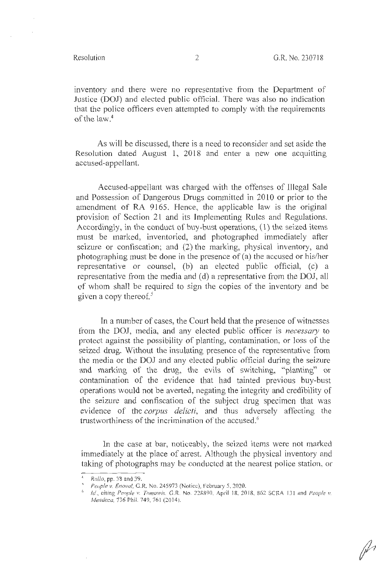inventory and there were no representative from the Department of Justice (DOJ) and elected public official. There was also no indication that the police officers even attempted to comply with the requirements of the law. 4

As will be discussed, there is a need to reconsider and set aside the Resolution dated August **1,** 2018 and enter a new one acquitting accused-appellant.

Accused-appellant was charged with the offenses of Illegal Sale and Possession of Dangerous Drugs committed in 2010 or prior to the amendment of RA 9165. Hence, the applicable law is the original provision of Section 21 and its Implementing Rules and Regulations. Accordingly, in the conduct of buy-bust operations, (1) the seized items must be marked, inventoried, and photographed immediately after seizure or confiscation; and (2) the marking, physical inventory, and photographing must be done in the presence of (a) the accused or his/her representative or counsel, (b) an elected public official, (c) a representative from the media and (d) a representative from the DOJ, all of whom shall be required to sign the copies of the inventory and be given a copy thereof. *<sup>5</sup>*

In a number of cases, the Court held that the presence of witnesses from the DOJ, media, and any elected public officer is *necessary* to protect against the possibility of planting, contamination, or loss of the seized drug. Without the insulating presence of the representative from the media or the DOJ and any elected public official during the seizure and marking of the drug, the evils of switching, "planting" or contamination of the evidence that had tainted previous buy-bust operations would not be averted, negating the integrity and credibility of the seizure and confiscation of the subject drug specimen that was evidence of the *corpus delicti,* and thus adversely affecting the trustworthiness of the incrimination of the accused.<sup>6</sup>

In the case at bar, noticeably, the seized items were not marked immediately at the place of arrest. Although the physical inventory and taking of photographs may be conducted at the nearest police station, or

<sup>&#</sup>x27; <sup>1</sup>*Rollo,* pp. 38 and 39.

<sup>&#</sup>x27; *Peuple v. £ nova!.* G.R. No. 245973 (Notice), February 5, 2020. 6 *Id.,* <sup>c</sup> iting *Penp/e v. Tnmowis.* G.R. No. 228890. April 18. 2018, 862 SCR.A 13 l and *l'eople* 1•. *Mendoza*, 736 Phil. 749, 761 (2014).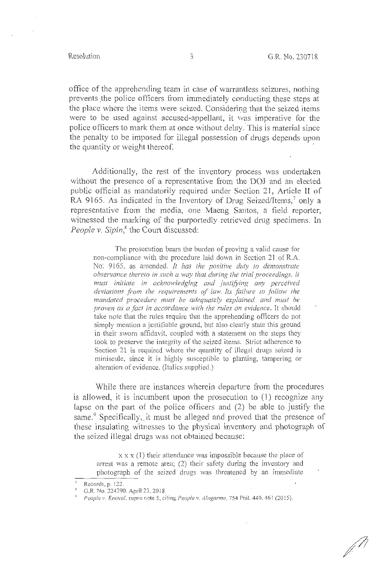$\mathbb{Z}^2$ 

office of the apprehending team in case of warrantless seizures, nothing prevents the police officers from immediately conducting these steps at the place where the items were seized. Considering that the seized items were to be used against accused-appellant, it was imperative for the police officers to mark them at once without delay. This is material since the penalty to be imposed for illegal possession of drugs depends upon the quantity or weight thereof.

Additionally, the rest of the inventory process was undertaken without the presence of a representative from the DOJ and an elected public official as mandatorily required under Section 21, Article II of RA 9165. As indicated in the Inventory of Drug Seized/Items,<sup>7</sup> only a representative from the media, one Maeng Santos, a field reporter, witnessed the marking of the purportedly retrieved drug specimens. In People v. Sipin,<sup>8</sup> the Court discussed:

The prosecution bears the burden of proving a valid cause for non-compliance with the procedure laid down in Section 21 of R.A. No·. 9165, as amended. *It has the positive duty to demonstrate observance thereto in such a way that during the trial proceedings, it must initiate in acknowledging and justffying any perceived deviations from the requirements of law. Its failure to follow the mandated procedure must be adequately explained, and must be proven as a fact in accordance with the rules on evidence.* It should take note that the rules require that the apprehending officers do not simply mention a justifiable ground, but also clearly state this ground in their sworn affidavit, coupled with a statement on the steps they took to preserve the integrity of the seized items. Strict adherence to Section 21 is required where the quantity of illegal drugs seized is miniscule, since it is highly susceptible to planting, tampering or alteration of evidence. (Italics supplied.)

While there are instances wherein departure from the procedures is allowed, it is incumbent upon the prosecution to  $(1)$  recognize any lapse on the part of the police officers and (2) be able to justify the same.<sup>9</sup> Specifically, it must be alleged and proved that the presence of these insulating witnesses to the physical inventory and photograph of the seized illegal drugs was not obtained because:

 $x \times x$  (1) their attendance was impossible because the place of arrest was a remote area;  $(2)$  their safety during the inventory and photograph of the seized drugs was threatened by an immediate

Records, p. 122.

<sup>R</sup>G.R. No. 224290. April 23, 2018

q *People v. £nova!, supra* note 5, citing *People v. Alagarme,* 754 Phil. 449, 461 (2015).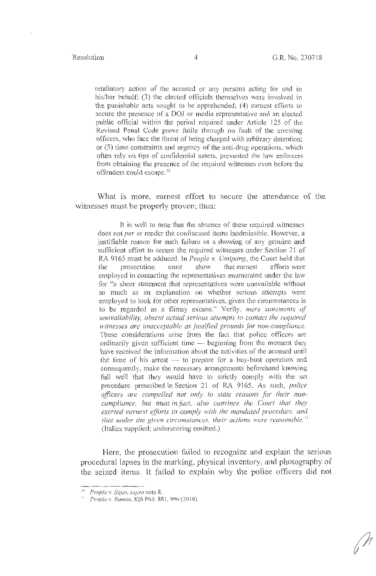retaliatory action of the accused or any persons acting for and in his/her behalf; (3) the elected officials themselves were involved in the punishable acts sought to be apprehended; (4) earnest efforts to secure the presence of a DOJ or media representative and an elected public official within the period required under Article 125 of the Revised Penal Code prove futile through no fault of the arresting officers, who face the threat of being charged with arbitrary detention; or (5) time constraints and urgency of the anti-drug operations, which often rely on tips of confidential assets, prevented the law enforcers from obtaining the presence of the required witnesses even before the offenders could escape.<sup>10</sup>

What is more, earnest effort to secure the attendance of the witnesses must be properly proven; thus:

It is well to note that the absence of these required witnesses does not *per se* render the confiscated items inadmissible. However, a justifiable reason for such failure or a showing of any genuine and sufficient effort to secure the required witnesses under Section 21 of RA 9 165 must be adduced. In *People v. Umipang,* the Court held that the prosecution must show that earnest efforts were employed in contacting the representatives enumerated under the law for "a sheer statement that representatives were unavailable without so much as an explanation on whether serious attempts were employed to look for other representatives, given the circumstances is to be regarded as a flimsy excuse." Verily, *mere statements of unavailability, absent actual serious attempts to contact the required*  witnesses are unacceptable as justified grounds for non-compliance. These considerations arise from the fact that police officers are ordinarily given sufficient time  $-$  beginning from the moment they have received the information about the activities of the accused until the time of his arrest  $-$  to prepare for a buy-bust operation and consequently, make the necessary arrangements beforehand knowing full well that they would have to strictly comply with the set procedure prescribed in Section 21 of RA 9165. As such, *police oficers are compelled not only to state reasons for their noncompliance, but must in fact, also convince the Court that they exerted earnest efforts lo comply with the mandated procedure, and that under the given circumstances, their actions were reasonable. <sup>11</sup>* (Italics supplied; underscoring omitted.)

Here, the prosecution failed to recognize and explain the serious procedural lapses in the marking, physical inventory, and photography of the seized items. It failed to explain why the police officers did not

<sup>10</sup>*People v. Sipin, supra* note 8. 11 *People v. Ramos,* 826 Phil. 881 , 9% (20 18).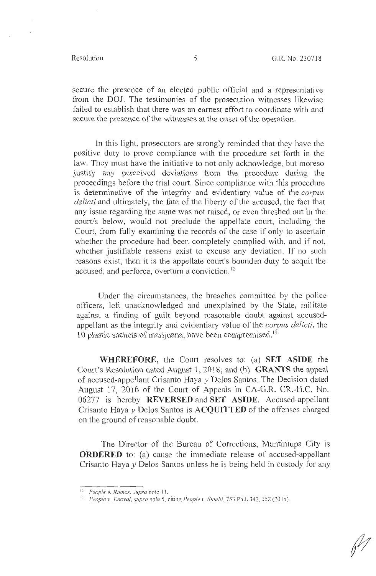secure the presence of an elected public official and a representative from the DOJ. The testimonies of the prosecution witnesses likewise failed to establish that there was an earnest effort to coordinate with and secure the presence of the witnesses at the onset of the operation.

In this light, prosecutors are strongly reminded that they have the positive duty to prove compliance with the procedure set forth in the law. They must have the initiative to not only acknowledge, but moreso justify any perceived deviations from the procedure during the proceedings before the trial court. Since compliance with this procedure is determinative of the integrity and evidentiary value of the *corpus delicti* and ultimately, the fate of the liberty of the accused, the fact that any issue regarding the same was not raised, or even threshed out in the court/s below, would not preclude the appellate court, including the Court, from fully examining the records of the case if only to ascertain whether the procedure had been completely complied with, and if not, whether justifiable reasons exist to excuse any deviation. If no such reasons exist, then it is the appellate court's bounden duty to acquit the accused, and perforce, overturn a conviction. 12

Under the circumstances, the breaches committed by the police officers, left unacknowledged and unexplained by the State, militate against a finding of guilt beyond reasonable doubt against accusedappellant as the integrity and evidentiary value of the *corpus delicti,* the 10 plastic sachets of marijuana, have been compromised. 13

**WHEREFORE,** the Court resolves to: (a) **SET ASIDE** the Court's Resolution dated August 1, 2018; and (b) **GRANTS** the appeal of accused-appellant Crisanto Haya *y* Delos Santos. The Decision dated August 17, 2016 of the Court of Appeals in CA-G.R. CR.-H.C. No. 06277 is hereby **REVERSED** and **SET ASIDE.** Accused-appellant Crisanto Haya y Delos Santos is **ACQUITTED** of the offenses charged on the ground of reasonable doubt.

The Director of the Bureau of Corrections, Muntinlupa City is **ORDERED** to: (a) cause the immediate release of accused-appellant Crisanto Haya *y* Delos Santos unless he is being held in custody for any

<sup>1</sup> <sup>~</sup>*People v. Ramos, supra* note 11.

<sup>&</sup>lt;sup>13</sup> *People v. Enoval, supra note 5, citing People v. Sumili, 753 Phil. 342, 352 (2015).*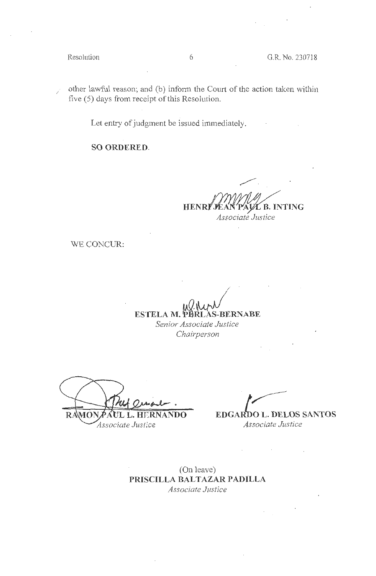$\gamma$  other lawful reason; and (b) inform the Court of the action taken within five (5) days from receipt of this Resolution.

Let entry of judgment be issued immediately.

**SO ORDERED.** 

 $\overline{\phantom{a}}$  . **HENR** Ĺ B. INTING *Associate Justice* 

 $\sim$   $\sim$ 

WE CONCUR:

 $\mathcal{L} \rightarrow \mathcal{L}$ **ESTELA M. PERLAS-BERNABE** 

> *Senior Associate Justice Chairperson*

 $\frac{\Delta}{\Delta}$ . **RAMO** L. HE

Associate Justice

 $\overline{ }$ **EDGARDO L. DELOS SANTOS** *Associate Justice* 

 $\sim 10^{11}$  km s  $^{-1}$ 

(On leave) **PRISCILLA BALTAZAR PADILLA** *Associate Justice*